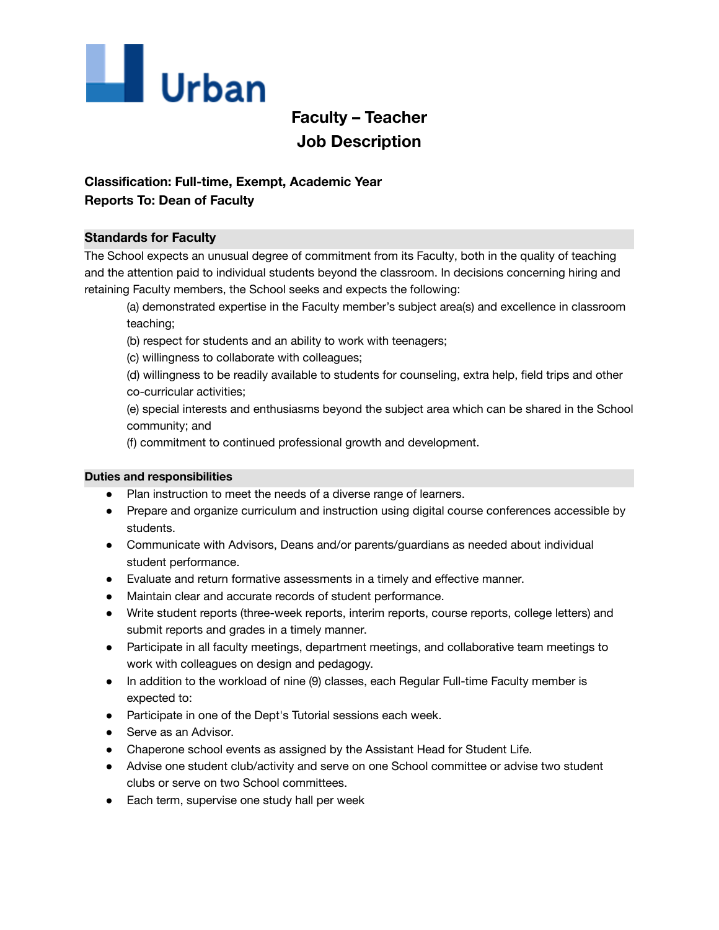

# **Faculty – Teacher Job Description**

## **Classification: Full-time, Exempt, Academic Year**

## **Reports To: Dean of Faculty**

### **Standards for Faculty**

The School expects an unusual degree of commitment from its Faculty, both in the quality of teaching and the attention paid to individual students beyond the classroom. In decisions concerning hiring and retaining Faculty members, the School seeks and expects the following:

(a) demonstrated expertise in the Faculty member's subject area(s) and excellence in classroom teaching;

- (b) respect for students and an ability to work with teenagers;
- (c) willingness to collaborate with colleagues;

(d) willingness to be readily available to students for counseling, extra help, field trips and other co-curricular activities;

(e) special interests and enthusiasms beyond the subject area which can be shared in the School community; and

(f) commitment to continued professional growth and development.

#### **Duties and responsibilities**

- Plan instruction to meet the needs of a diverse range of learners.
- Prepare and organize curriculum and instruction using digital course conferences accessible by students.
- Communicate with Advisors, Deans and/or parents/guardians as needed about individual student performance.
- Evaluate and return formative assessments in a timely and effective manner.
- Maintain clear and accurate records of student performance.
- Write student reports (three-week reports, interim reports, course reports, college letters) and submit reports and grades in a timely manner.
- Participate in all faculty meetings, department meetings, and collaborative team meetings to work with colleagues on design and pedagogy.
- In addition to the workload of nine (9) classes, each Regular Full-time Faculty member is expected to:
- Participate in one of the Dept's Tutorial sessions each week.
- Serve as an Advisor.
- Chaperone school events as assigned by the Assistant Head for Student Life.
- Advise one student club/activity and serve on one School committee or advise two student clubs or serve on two School committees.
- Each term, supervise one study hall per week